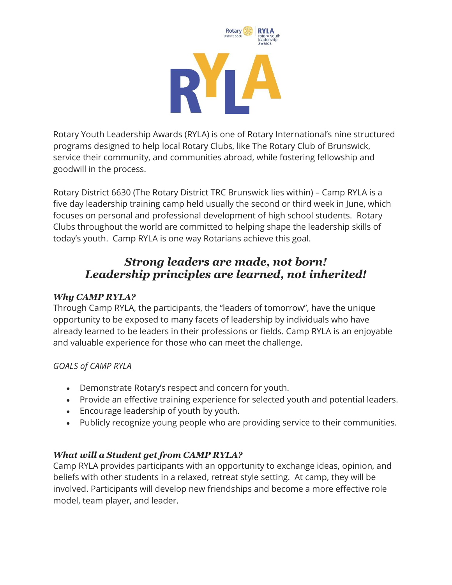

Rotary Youth Leadership Awards (RYLA) is one of Rotary International's nine structured programs designed to help local Rotary Clubs, like The Rotary Club of Brunswick, service their community, and communities abroad, while fostering fellowship and goodwill in the process.

Rotary District 6630 (The Rotary District TRC Brunswick lies within) – Camp RYLA is a five day leadership training camp held usually the second or third week in June, which focuses on personal and professional development of high school students. Rotary Clubs throughout the world are committed to helping shape the leadership skills of today's youth. Camp RYLA is one way Rotarians achieve this goal.

# *Strong leaders are made, not born! Leadership principles are learned, not inherited!*

# *Why CAMP RYLA?*

Through Camp RYLA, the participants, the "leaders of tomorrow", have the unique opportunity to be exposed to many facets of leadership by individuals who have already learned to be leaders in their professions or fields. Camp RYLA is an enjoyable and valuable experience for those who can meet the challenge.

# *GOALS of CAMP RYLA*

- Demonstrate Rotary's respect and concern for youth.
- Provide an effective training experience for selected youth and potential leaders.
- Encourage leadership of youth by youth.
- Publicly recognize young people who are providing service to their communities.

# *What will a Student get from CAMP RYLA?*

Camp RYLA provides participants with an opportunity to exchange ideas, opinion, and beliefs with other students in a relaxed, retreat style setting. At camp, they will be involved. Participants will develop new friendships and become a more effective role model, team player, and leader.